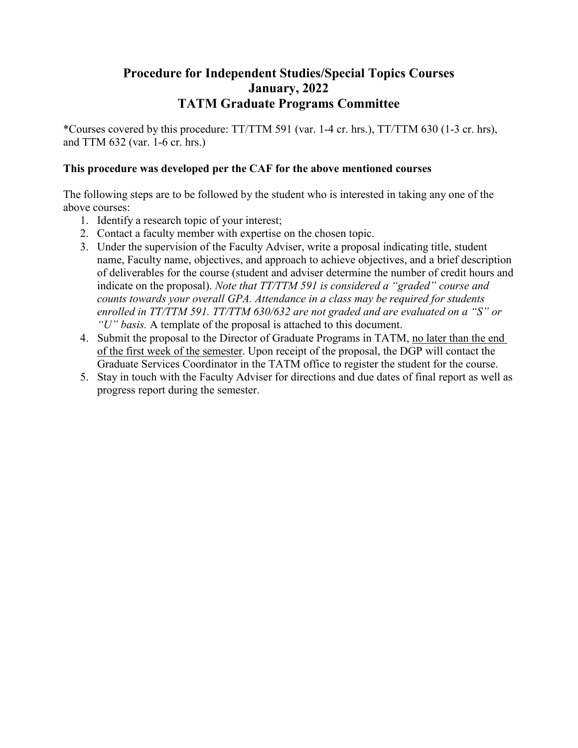## **Procedure for Independent Studies/Special Topics Courses January, 2022 TATM Graduate Programs Committee**

\*Courses covered by this procedure: TT/TTM 591 (var. 1-4 cr. hrs.), TT/TTM 630 (1-3 cr. hrs), and TTM 632 (var. 1-6 cr. hrs.)

## **This procedure was developed per the CAF for the above mentioned courses**

The following steps are to be followed by the student who is interested in taking any one of the above courses:

- 1. Identify a research topic of your interest;
- 2. Contact a faculty member with expertise on the chosen topic.
- 3. Under the supervision of the Faculty Adviser, write a proposal indicating title, student name, Faculty name, objectives, and approach to achieve objectives, and a brief description of deliverables for the course (student and adviser determine the number of credit hours and indicate on the proposal). *Note that TT/TTM 591 is considered a "graded" course and counts towards your overall GPA. Attendance in a class may be required for students enrolled in TT/TTM 591. TT/TTM 630/632 are not graded and are evaluated on a "S" or "U" basis.* A template of the proposal is attached to this document.
- 4. Submit the proposal to the Director of Graduate Programs in TATM, no later than the end of the first week of the semester. Upon receipt of the proposal, the DGP will contact the Graduate Services Coordinator in the TATM office to register the student for the course.
- 5. Stay in touch with the Faculty Adviser for directions and due dates of final report as well as progress report during the semester.